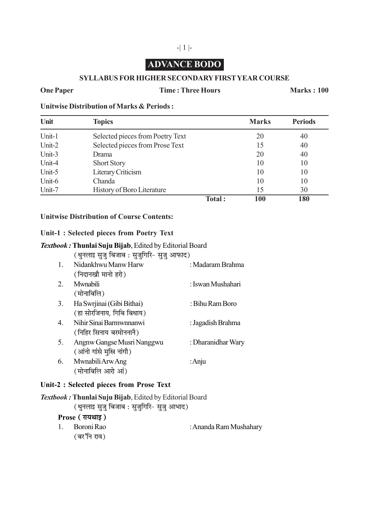# **ADVANCE BODO**

#### **SYLLABUS FOR HIGHER SECONDARY FIRST YEAR COURSE**

#### **One Paper Time : Three Hours Marks : 100**

**Unitwise Distribution of Marks & Periods :**

| Unit   | <b>Topics</b>                     |        | <b>Marks</b> | <b>Periods</b> |
|--------|-----------------------------------|--------|--------------|----------------|
| Unit-1 | Selected pieces from Poetry Text  |        | 20           | 40             |
| Unit-2 | Selected pieces from Prose Text   |        | 15           | 40             |
| Unit-3 | Drama                             |        | 20           | 40             |
| Unit-4 | <b>Short Story</b>                |        | 10           | 10             |
| Unit-5 | Literary Criticism                |        | 10           | 10             |
| Unit-6 | Chanda                            |        | 10           | 10             |
| Unit-7 | <b>History of Boro Literature</b> |        | 15           | 30             |
|        |                                   | Total: | 100          | 180            |

## **Unitwise Distribution of Course Contents:**

#### **Unit-1 : Selected pieces from Poetry Text**

#### *Textbook :***Thunlai Suju Bijab**, Edited by Editorial Board

(थुनलाइ सुजु बिजाब: सुजुगिरि- सुजु आफाद)

|    | Nidankhwu Manw Harw        | : Madaram Brahma   |
|----|----------------------------|--------------------|
|    | (निदानखौ मानो हरो)         |                    |
| 2  | Mwnabili                   | : Iswan Mushahari  |
|    | (मोनाबिलि)                 |                    |
| 3. | Ha Swrjinai (Gibi Bithai)  | : Bihu Ram Boro    |
|    | (हा सोरजिनाय, गिबि बिथाय)  |                    |
| 4  | Nihir Sinai Barmwnnanwi    | : Jagadish Brahma  |
|    | (निहिर सिनाय बरमोननानै)    |                    |
| 5. | Angnw Gangse Musri Nanggwu | : Dharanidhar Wary |
|    | (आंनो गांसे मुस्रि नांगौ)  |                    |
| 6. | Mwnabili Arw Ang           | : Anju             |
|    | (मोनाबिलि आरो आं)          |                    |

#### **Unit-2 : Selected pieces from Prose Text**

*Textbook :***Thunlai Suju Bijab**, Edited by Editorial Board (थुनलाइ सुजु बिजाब : सुजुगिरि- सुजु आभाद) **Prose ( रायथाड़)** 1. Boroni Rao : Ananda Ram Mushahary (बर'नि राव)

## -| 1 |-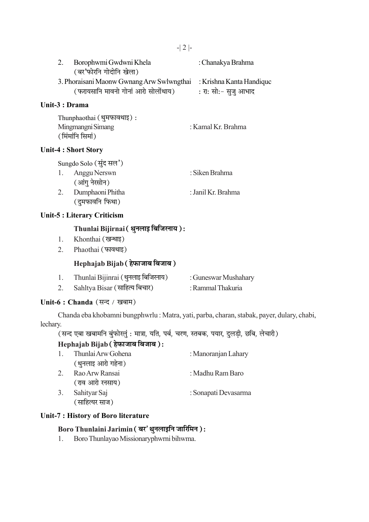| Borophwmi Gwdwni Khela                    | : Chanakya Brahma        |
|-------------------------------------------|--------------------------|
| (बर'फोरनि गोदोनि खेला)                    |                          |
| 3. Phoraisani Maonw Gwnang Arw Swlwngthai | : Krishna Kanta Handique |
| (फरायसानि मावनो गोनां आरो सोलोंथाय)       | : रा: सो:- सुजु आभाद     |
|                                           |                          |

#### Unit-3 : Drama

| Thunphaothai (थुमफावथाइ): |                    |
|---------------------------|--------------------|
| Mingmangni Simang         | : Kamal Kr. Brahma |
| (मिंमांनि सिमां)          |                    |

#### **Unit-4: Short Story**

|    | Sungdo Solo (सुंद सल') |                    |
|----|------------------------|--------------------|
|    | 1. Anggu Nerswn        | : Siken Brahma     |
|    | (आंगु नेरसोन)          |                    |
| 2. | Dumphaoni Phitha       | : Janil Kr. Brahma |
|    | (दुमफावनि फिथा)        |                    |

## **Unit-5: Literary Criticism**

# Thunlai Bijirnai (थुनलाइ बिजिरनाय):

- Khonthai (खन्थाइ)  $1.$
- 2. Phaothai (फावथाइ)

## Hephajab Bijab (हेफाजाब बिजाब)

| Thunlai Bijinrai (थुनलाइ बिजिरनाय)                      | : Guneswar Mushahary |
|---------------------------------------------------------|----------------------|
| $\sim$ $\sim$ $\sim$ $\sim$ $\sim$ $\sim$ $\sim$ $\sim$ |                      |

 $2.$ Sahltya Bisar (साहित्य बिचार) : Rammal Thakuria

## Unit-6 : Chanda (सन्द / खबाम)

Chanda eba khobamni bungphwrlu : Matra, yati, parba, charan, stabak, payer, dulary, chabi, lechary.

्<br>सन्द एबा खबामनि बुंफोरलुं : मात्रा, यति, पर्ब, चरण, स्तबक, पयार, दुलड़ी, छबि, लेचारी)

# Hephajab Bijab (हेफाजाब बिजाब):

| $\mathbf{1}$ | Thunlai Arw Gohena | : Manoranjan Lahary  |
|--------------|--------------------|----------------------|
|              | (थुनलाइ आरो गहेना) |                      |
| 2.           | Rao Arw Ransai     | : Madhu Ram Baro     |
|              | (राव आरो रनसाय)    |                      |
| 3.           | Sahityar Saj       | : Sonapati Devasarma |
|              | (साहित्यर साज)     |                      |

#### Unit-7 : History of Boro literature

## Boro Thunlaini Jarimin (बर' थुनलाइनि जारिमिन):

Boro Thunlayao Missionaryphwrni bihwma.  $1.$